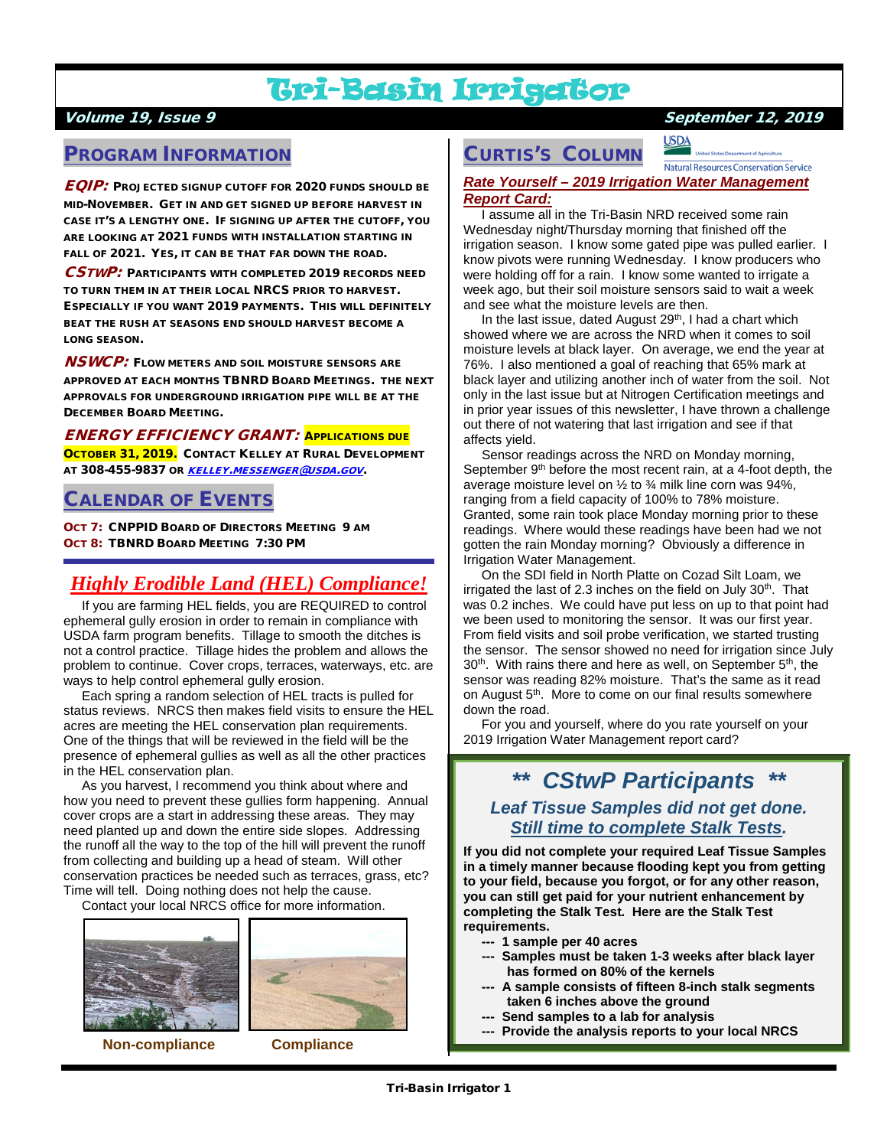## Tri-Basin Irrigator

## PROGRAM INFORMATION

EQIP: PROJECTED SIGNUP CUTOFF FOR 2020 FUNDS SHOULD BE MID-NOVEMBER. GET IN AND GET SIGNED UP BEFORE HARVEST IN CASE IT'S A LENGTHY ONE. IF SIGNING UP AFTER THE CUTOFF, YOU ARE LOOKING AT 2021 FUNDS WITH INSTALLATION STARTING IN FALL OF 2021. YES, IT CAN BE THAT FAR DOWN THE ROAD.

CSTWP: PARTICIPANTS WITH COMPLETED 2019 RECORDS NEED TO TURN THEM IN AT THEIR LOCAL NRCS PRIOR TO HARVEST. ESPECIALLY IF YOU WANT 2019 PAYMENTS. THIS WILL DEFINITELY BEAT THE RUSH AT SEASONS END SHOULD HARVEST BECOME A LONG SEASON.

 $\boldsymbol{NSW}\boldsymbol{C}\boldsymbol{P}$ : Flow meters and soil moisture sensors are APPROVED AT EACH MONTHS TBNRD BOARD MEETINGS. THE NEXT APPROVALS FOR UNDERGROUND IRRIGATION PIPE WILL BE AT THE DECEMBER BOARD MEETING.

ENERGY EFFICIENCY GRANT: APPLICATIONS DUE OCTOBER 31, 2019. CONTACT KELLEY AT RURAL DEVELOPMENT AT 308-455-9837 OR [KELLEY.MESSENGER@USDA.GOV](mailto:kelley.messenger@usda.gov).

## CALENDAR OF EVENTS

OCT 7: CNPPID BOARD OF DIRECTORS MEETING 9 AM OCT 8: TBNRD BOARD MEETING 7:30 PM

## *Highly Erodible Land (HEL) Compliance!*

 If you are farming HEL fields, you are REQUIRED to control ephemeral gully erosion in order to remain in compliance with USDA farm program benefits. Tillage to smooth the ditches is not a control practice. Tillage hides the problem and allows the problem to continue. Cover crops, terraces, waterways, etc. are ways to help control ephemeral gully erosion.

 Each spring a random selection of HEL tracts is pulled for status reviews. NRCS then makes field visits to ensure the HEL acres are meeting the HEL conservation plan requirements. One of the things that will be reviewed in the field will be the presence of ephemeral gullies as well as all the other practices in the HEL conservation plan.

 As you harvest, I recommend you think about where and how you need to prevent these gullies form happening. Annual cover crops are a start in addressing these areas. They may need planted up and down the entire side slopes. Addressing the runoff all the way to the top of the hill will prevent the runoff from collecting and building up a head of steam. Will other conservation practices be needed such as terraces, grass, etc? Time will tell. Doing nothing does not help the cause.

Contact your local NRCS office for more information.





**Non-compliance Compliance**

### Volume 19, Issue 9 September 12, 2019

**USDA Natural Resources Conservation Service** 

#### *Rate Yourself – 2019 Irrigation Water Management Report Card:*

CURTIS'S COLUMN

 I assume all in the Tri-Basin NRD received some rain Wednesday night/Thursday morning that finished off the irrigation season. I know some gated pipe was pulled earlier. I know pivots were running Wednesday. I know producers who were holding off for a rain. I know some wanted to irrigate a week ago, but their soil moisture sensors said to wait a week and see what the moisture levels are then.

In the last issue, dated August 29<sup>th</sup>, I had a chart which showed where we are across the NRD when it comes to soil moisture levels at black layer. On average, we end the year at 76%. I also mentioned a goal of reaching that 65% mark at black layer and utilizing another inch of water from the soil. Not only in the last issue but at Nitrogen Certification meetings and in prior year issues of this newsletter, I have thrown a challenge out there of not watering that last irrigation and see if that affects yield.

 Sensor readings across the NRD on Monday morning, September 9<sup>th</sup> before the most recent rain, at a 4-foot depth, the average moisture level on  $\frac{1}{2}$  to  $\frac{3}{4}$  milk line corn was 94%, ranging from a field capacity of 100% to 78% moisture. Granted, some rain took place Monday morning prior to these readings. Where would these readings have been had we not gotten the rain Monday morning? Obviously a difference in Irrigation Water Management.

 On the SDI field in North Platte on Cozad Silt Loam, we irrigated the last of 2.3 inches on the field on July  $30<sup>th</sup>$ . That was 0.2 inches. We could have put less on up to that point had we been used to monitoring the sensor. It was our first year. From field visits and soil probe verification, we started trusting the sensor. The sensor showed no need for irrigation since July  $30<sup>th</sup>$ . With rains there and here as well, on September  $5<sup>th</sup>$ , the sensor was reading 82% moisture. That's the same as it read on August 5<sup>th</sup>. More to come on our final results somewhere down the road.

 For you and yourself, where do you rate yourself on your 2019 Irrigation Water Management report card?

## *\*\* CStwP Participants \*\* Leaf Tissue Samples did not get done. Still time to complete Stalk Tests.*

**If you did not complete your required Leaf Tissue Samples in a timely manner because flooding kept you from getting to your field, because you forgot, or for any other reason, you can still get paid for your nutrient enhancement by completing the Stalk Test. Here are the Stalk Test requirements.**

- **--- 1 sample per 40 acres**
- **--- Samples must be taken 1-3 weeks after black layer has formed on 80% of the kernels**
- **--- A sample consists of fifteen 8-inch stalk segments taken 6 inches above the ground**
- **Send samples to a lab for analysis**
- **--- Provide the analysis reports to your local NRCS**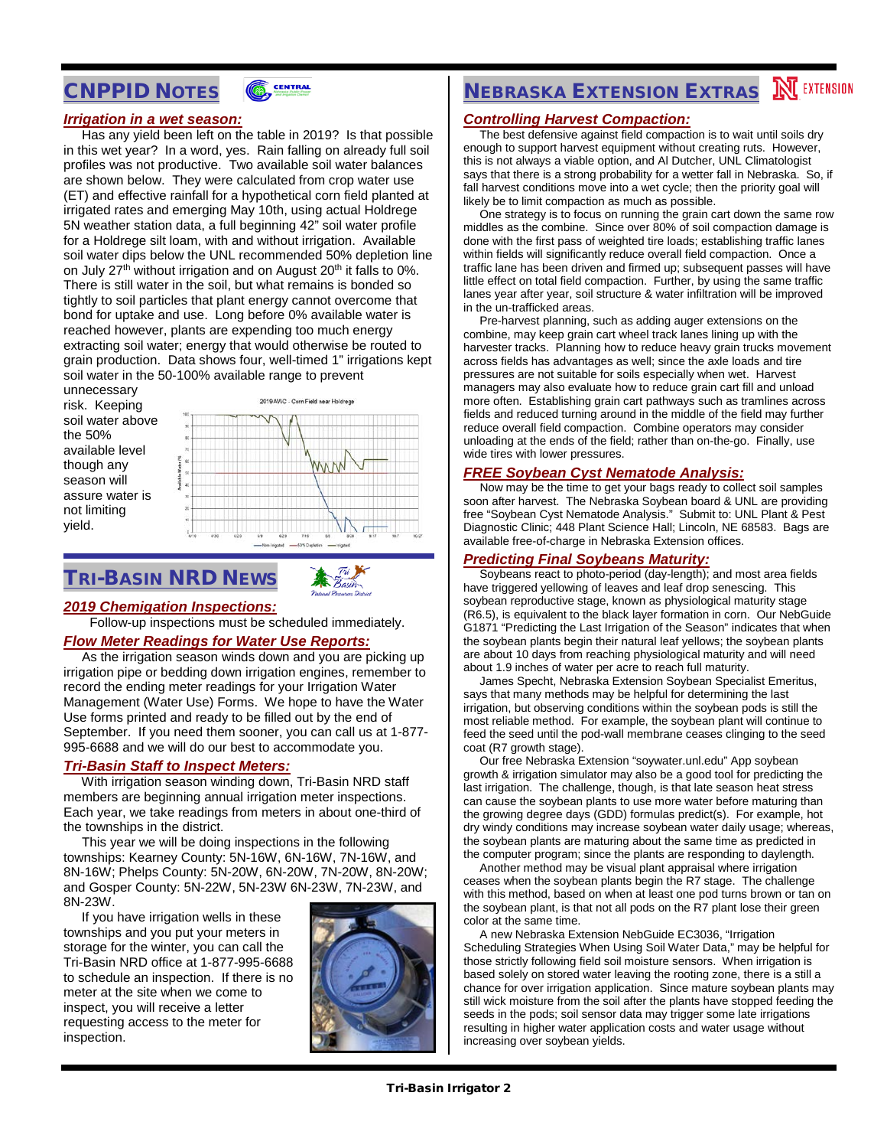## CNPPID NOTES



#### *Irrigation in a wet season:*

 Has any yield been left on the table in 2019? Is that possible in this wet year? In a word, yes. Rain falling on already full soil profiles was not productive. Two available soil water balances are shown below. They were calculated from crop water use (ET) and effective rainfall for a hypothetical corn field planted at irrigated rates and emerging May 10th, using actual Holdrege 5N weather station data, a full beginning 42" soil water profile for a Holdrege silt loam, with and without irrigation. Available soil water dips below the UNL recommended 50% depletion line on July 27<sup>th</sup> without irrigation and on August 20<sup>th</sup> it falls to 0%. There is still water in the soil, but what remains is bonded so tightly to soil particles that plant energy cannot overcome that bond for uptake and use. Long before 0% available water is reached however, plants are expending too much energy extracting soil water; energy that would otherwise be routed to grain production. Data shows four, well-timed 1" irrigations kept soil water in the 50-100% available range to prevent

unnecessary risk. Keeping soil water above the 50% available level though any season will assure water is not limiting yield.



## TRI-BASIN NRD NEWS



#### *2019 Chemigation Inspections:*

Follow-up inspections must be scheduled immediately.

#### *Flow Meter Readings for Water Use Reports:*

 As the irrigation season winds down and you are picking up irrigation pipe or bedding down irrigation engines, remember to record the ending meter readings for your Irrigation Water Management (Water Use) Forms. We hope to have the Water Use forms printed and ready to be filled out by the end of September. If you need them sooner, you can call us at 1-877- 995-6688 and we will do our best to accommodate you.

#### *Tri-Basin Staff to Inspect Meters:*

 With irrigation season winding down, Tri-Basin NRD staff members are beginning annual irrigation meter inspections. Each year, we take readings from meters in about one-third of the townships in the district.

 This year we will be doing inspections in the following townships: Kearney County: 5N-16W, 6N-16W, 7N-16W, and 8N-16W; Phelps County: 5N-20W, 6N-20W, 7N-20W, 8N-20W; and Gosper County: 5N-22W, 5N-23W 6N-23W, 7N-23W, and 8N-23W.

 If you have irrigation wells in these townships and you put your meters in storage for the winter, you can call the Tri-Basin NRD office at 1-877-995-6688 to schedule an inspection. If there is no meter at the site when we come to inspect, you will receive a letter requesting access to the meter for inspection.



# **NEBRASKA EXTENSION EXTRAS NEXTENSION**

#### *Controlling Harvest Compaction:*

 The best defensive against field compaction is to wait until soils dry enough to support harvest equipment without creating ruts. However, this is not always a viable option, and Al Dutcher, UNL Climatologist says that there is a strong probability for a wetter fall in Nebraska. So, if fall harvest conditions move into a wet cycle; then the priority goal will likely be to limit compaction as much as possible.

 One strategy is to focus on running the grain cart down the same row middles as the combine. Since over 80% of soil compaction damage is done with the first pass of weighted tire loads; establishing traffic lanes within fields will significantly reduce overall field compaction. Once a traffic lane has been driven and firmed up; subsequent passes will have little effect on total field compaction. Further, by using the same traffic lanes year after year, soil structure & water infiltration will be improved in the un-trafficked areas.

 Pre-harvest planning, such as adding auger extensions on the combine, may keep grain cart wheel track lanes lining up with the harvester tracks. Planning how to reduce heavy grain trucks movement across fields has advantages as well; since the axle loads and tire pressures are not suitable for soils especially when wet. Harvest managers may also evaluate how to reduce grain cart fill and unload more often. Establishing grain cart pathways such as tramlines across fields and reduced turning around in the middle of the field may further reduce overall field compaction. Combine operators may consider unloading at the ends of the field; rather than on-the-go. Finally, use wide tires with lower pressures.

#### *FREE Soybean Cyst Nematode Analysis:*

 Now may be the time to get your bags ready to collect soil samples soon after harvest. The Nebraska Soybean board & UNL are providing free "Soybean Cyst Nematode Analysis." Submit to: UNL Plant & Pest Diagnostic Clinic; 448 Plant Science Hall; Lincoln, NE 68583. Bags are available free-of-charge in Nebraska Extension offices.

#### *Predicting Final Soybeans Maturity:*

 Soybeans react to photo-period (day-length); and most area fields have triggered yellowing of leaves and leaf drop senescing. This soybean reproductive stage, known as physiological maturity stage (R6.5), is equivalent to the black layer formation in corn. Our NebGuide G1871 "Predicting the Last Irrigation of the Season" indicates that when the soybean plants begin their natural leaf yellows; the soybean plants are about 10 days from reaching physiological maturity and will need about 1.9 inches of water per acre to reach full maturity.

 James Specht, Nebraska Extension Soybean Specialist Emeritus, says that many methods may be helpful for determining the last irrigation, but observing conditions within the soybean pods is still the most reliable method. For example, the soybean plant will continue to feed the seed until the pod-wall membrane ceases clinging to the seed coat (R7 growth stage).

 Our free Nebraska Extension "soywater.unl.edu" App soybean growth & irrigation simulator may also be a good tool for predicting the last irrigation. The challenge, though, is that late season heat stress can cause the soybean plants to use more water before maturing than the growing degree days (GDD) formulas predict(s). For example, hot dry windy conditions may increase soybean water daily usage; whereas, the soybean plants are maturing about the same time as predicted in the computer program; since the plants are responding to daylength.

 Another method may be visual plant appraisal where irrigation ceases when the soybean plants begin the R7 stage. The challenge with this method, based on when at least one pod turns brown or tan on the soybean plant, is that not all pods on the R7 plant lose their green color at the same time.

 A new Nebraska Extension NebGuide EC3036, "Irrigation Scheduling Strategies When Using Soil Water Data," may be helpful for those strictly following field soil moisture sensors. When irrigation is based solely on stored water leaving the rooting zone, there is a still a chance for over irrigation application. Since mature soybean plants may still wick moisture from the soil after the plants have stopped feeding the seeds in the pods; soil sensor data may trigger some late irrigations resulting in higher water application costs and water usage without increasing over soybean yields.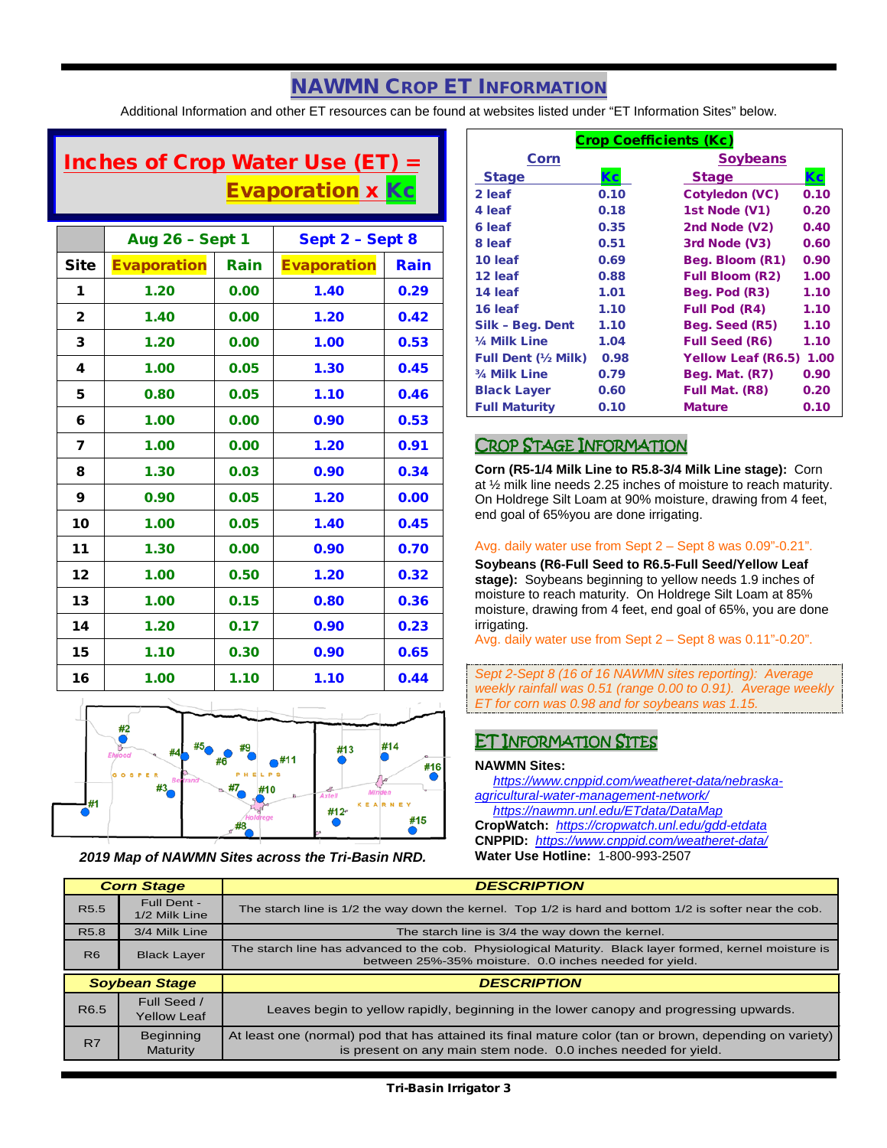## NAWMN CROP ET INFORMATION

Additional Information and other ET resources can be found at websites listed under "ET Information Sites" below.

## Inches of Crop Water Use  $(ET) =$ **Evaporation x Kc**

|              | <b>Aug 26 - Sept 1</b> |      | Sept 2 - Sept 8    |      |
|--------------|------------------------|------|--------------------|------|
| <b>Site</b>  | <b>Evaporation</b>     | Rain | <b>Evaporation</b> | Rain |
| 1            | 1.20                   | 0.00 | 1.40               | 0.29 |
| $\mathbf{2}$ | 1.40                   | 0.00 | 1.20               | 0.42 |
| 3            | 1.20                   | 0.00 | 1.00               | 0.53 |
| 4            | 1.00                   | 0.05 | 1.30               | 0.45 |
| 5            | 0.80                   | 0.05 | 1.10               | 0.46 |
| 6            | 1.00                   | 0.00 | 0.90               | 0.53 |
| 7            | 1.00                   | 0.00 | 1.20               | 0.91 |
| 8            | 1.30                   | 0.03 | 0.90               | 0.34 |
| 9            | 0.90                   | 0.05 | 1.20               | 0.00 |
| 10           | 1.00                   | 0.05 | 1.40               | 0.45 |
| 11           | 1.30                   | 0.00 | 0.90               | 0.70 |
| 12           | 1.00                   | 0.50 | 1.20               | 0.32 |
| 13           | 1.00                   | 0.15 | 0.80               | 0.36 |
| 14           | 1.20                   | 0.17 | 0.90               | 0.23 |
| 15           | 1.10                   | 0.30 | 0.90               | 0.65 |
| 16           | 1.00                   | 1.10 | 1.10               | 0.44 |



*2019 Map of NAWMN Sites across the Tri-Basin NRD.*

| <b>Crop Coefficients (Kc)</b> |      |                           |      |
|-------------------------------|------|---------------------------|------|
| Corn                          |      | <b>Soybeans</b>           |      |
| <b>Stage</b>                  | Кc   | <b>Stage</b>              | Кc   |
| 2 leaf                        | 0.10 | <b>Cotyledon (VC)</b>     | 0.10 |
| 4 leaf                        | 0.18 | 1st Node (V1)             | 0.20 |
| 6 leaf                        | 0.35 | 2nd Node (V2)             | 0.40 |
| 8 leaf                        | 0.51 | 3rd Node (V3)             | 0.60 |
| 10 leaf                       | 0.69 | Beg. Bloom (R1)           | 0.90 |
| 12 leaf                       | 0.88 | <b>Full Bloom (R2)</b>    | 1.00 |
| 14 leaf                       | 1.01 | Beg. Pod (R3)             | 1.10 |
| 16 leaf                       | 1.10 | <b>Full Pod (R4)</b>      | 1.10 |
| Silk - Beg. Dent              | 1.10 | Beg. Seed (R5)            | 1.10 |
| 1/ <sub>4</sub> Milk Line     | 1.04 | <b>Full Seed (R6)</b>     | 1.10 |
| <b>Full Dent (1/2 Milk)</b>   | 0.98 | <b>Yellow Leaf (R6.5)</b> | 1.00 |
| 3/4 Milk Line                 | 0.79 | Beg. Mat. (R7)            | 0.90 |
| <b>Black Layer</b>            | 0.60 | Full Mat. (R8)            | 0.20 |
| <b>Full Maturity</b>          | 0.10 | <b>Mature</b>             | 0.10 |

## CROP STAGE INFORMATION

**Corn (R5-1/4 Milk Line to R5.8-3/4 Milk Line stage):** Corn at ½ milk line needs 2.25 inches of moisture to reach maturity. On Holdrege Silt Loam at 90% moisture, drawing from 4 feet, end goal of 65%you are done irrigating.

#### Avg. daily water use from Sept 2 – Sept 8 was 0.09"-0.21".

**Soybeans (R6-Full Seed to R6.5-Full Seed/Yellow Leaf stage):** Soybeans beginning to yellow needs 1.9 inches of moisture to reach maturity. On Holdrege Silt Loam at 85% moisture, drawing from 4 feet, end goal of 65%, you are done irrigating.

Avg. daily water use from Sept 2 – Sept 8 was 0.11"-0.20".

*Sept 2-Sept 8 (16 of 16 NAWMN sites reporting): Average weekly rainfall was 0.51 (range 0.00 to 0.91). Average weekly ET for corn was 0.98 and for soybeans was 1.15.*

## ET INFORMATION SITES

#### **NAWMN Sites:**

 *[https://www.cnppid.com/weatheret-data/nebraska](https://www.cnppid.com/weatheret-data/nebraska-agricultural-water-management-network/)[agricultural-water-management-network/](https://www.cnppid.com/weatheret-data/nebraska-agricultural-water-management-network/)*

*<https://nawmn.unl.edu/ETdata/DataMap>*

**CropWatch:** *<https://cropwatch.unl.edu/gdd-etdata>* **CNPPID:** *<https://www.cnppid.com/weatheret-data/>* **Water Use Hotline:** 1-800-993-2507

| <b>Corn Stage</b> |                                   | <b>DESCRIPTION</b>                                                                                                                                                |  |
|-------------------|-----------------------------------|-------------------------------------------------------------------------------------------------------------------------------------------------------------------|--|
| R <sub>5.5</sub>  | Full Dent -<br>1/2 Milk Line      | The starch line is 1/2 the way down the kernel. Top 1/2 is hard and bottom 1/2 is softer near the cob.                                                            |  |
| R <sub>5.8</sub>  | 3/4 Milk Line                     | The starch line is 3/4 the way down the kernel.                                                                                                                   |  |
| R <sub>6</sub>    | <b>Black Layer</b>                | The starch line has advanced to the cob. Physiological Maturity. Black layer formed, kernel moisture is<br>between 25%-35% moisture. 0.0 inches needed for yield. |  |
|                   |                                   |                                                                                                                                                                   |  |
|                   | <b>Soybean Stage</b>              | <b>DESCRIPTION</b>                                                                                                                                                |  |
| R6.5              | Full Seed /<br><b>Yellow Leaf</b> | Leaves begin to yellow rapidly, beginning in the lower canopy and progressing upwards.                                                                            |  |